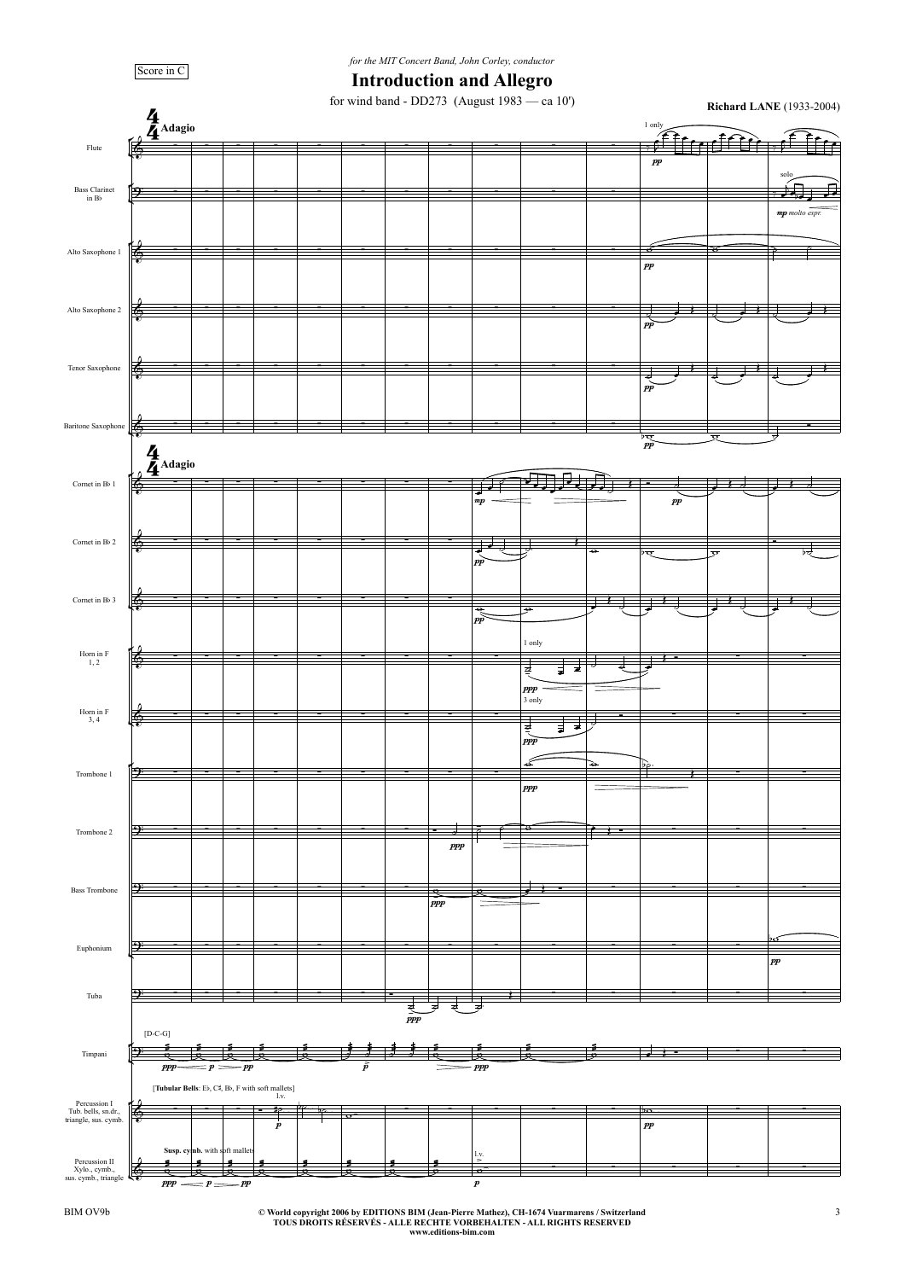© World copyright 2006 by EDITIONS BIM (Jean-Pierre Mathez), CH-1674 Vuarmarens / Switzerland<br>TOUS DROITS RÉSERVÉS - ALLE RECHTE VORBEHALTEN - ALL RIGHTS RESERVED **www.editions-bim.com**



BIM OV9b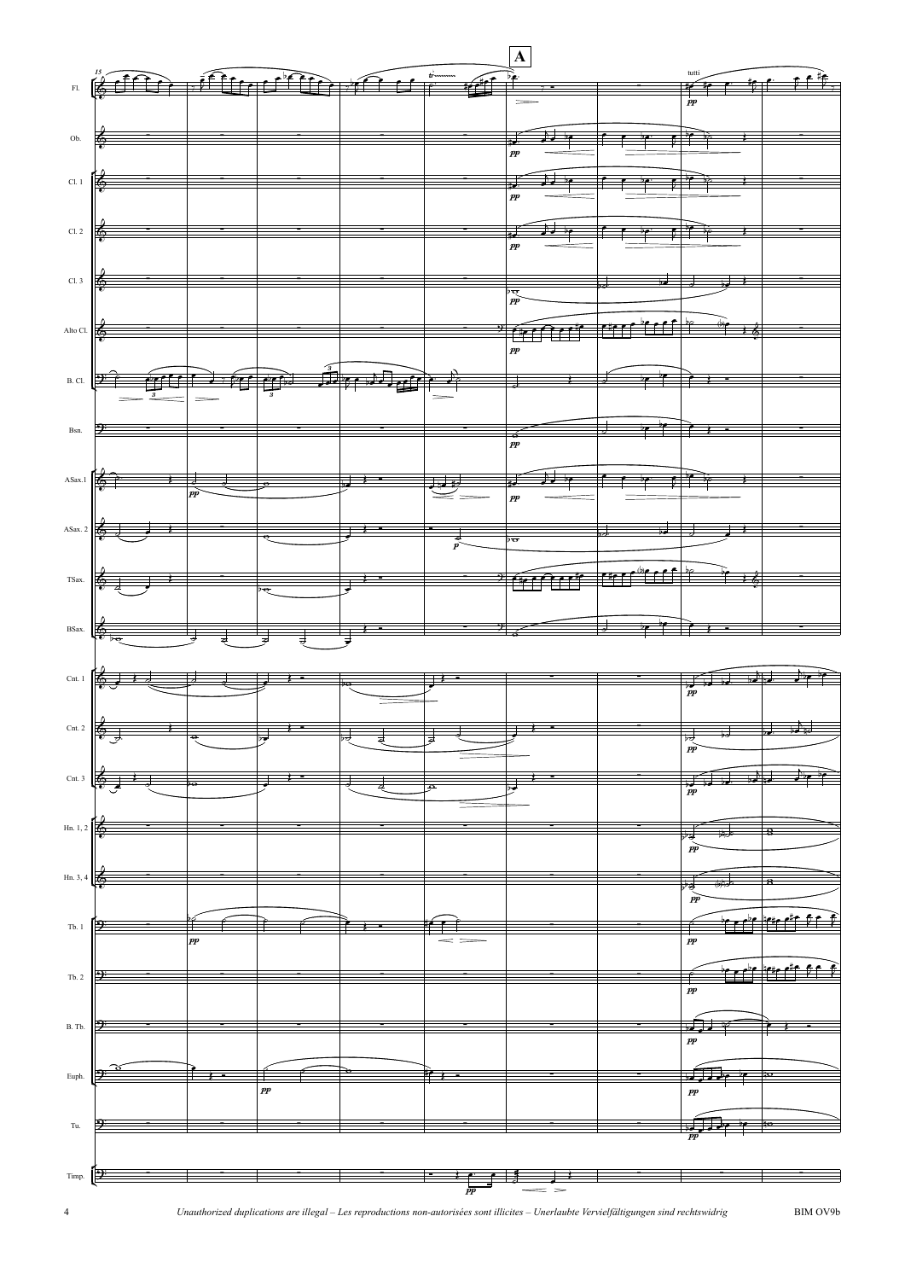

Unauthorized duplications are illegal - Les reproductions non-autorisées sont illicites - Unerlaubte Vervielfältigungen sind rechtswidrig BIM OV9b

4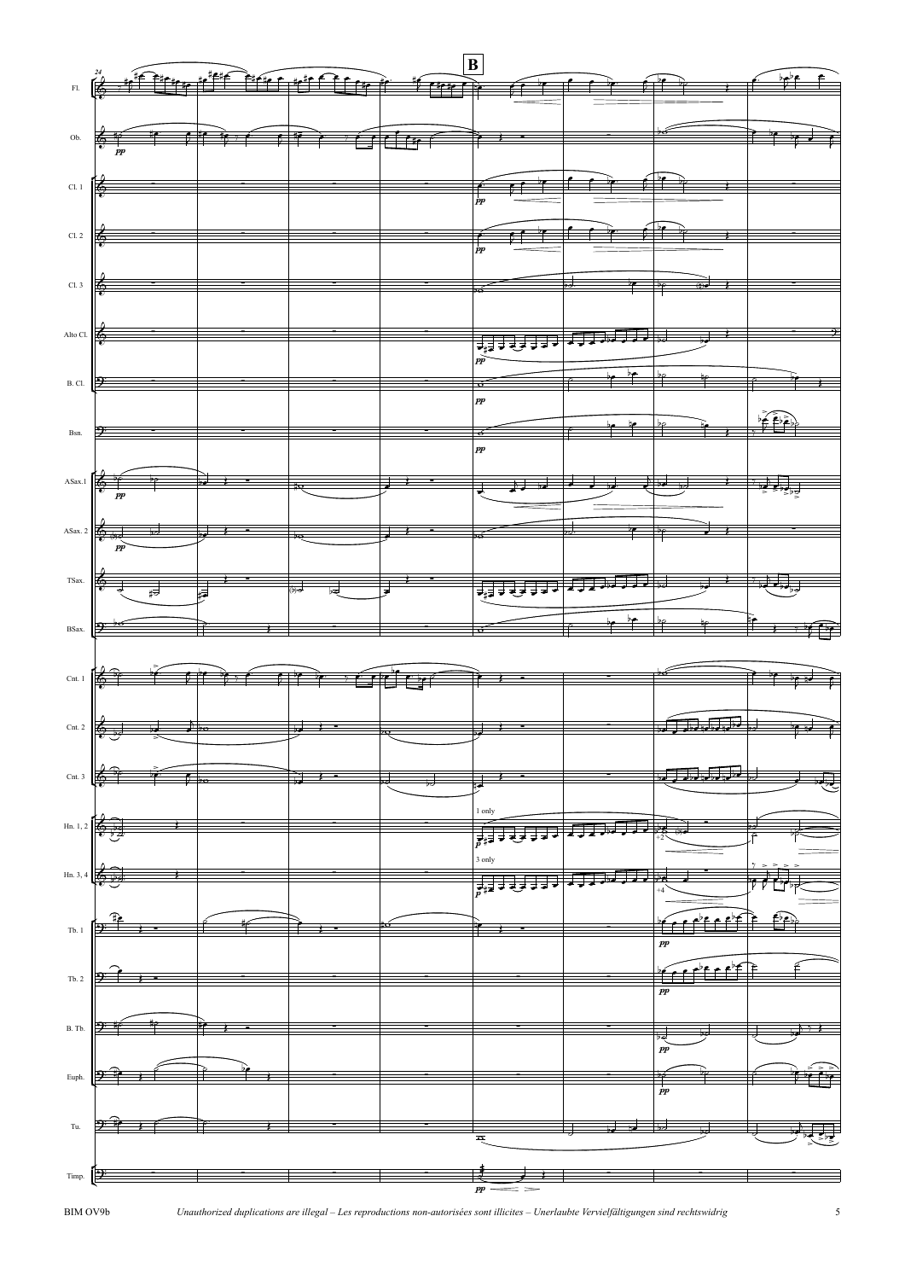

BIM OV9b Unauthorized duplications are illegal - Les reproductions non-autorisées sont illicites - Unerlaubte Vervielfältigungen sind rechtswidrig 5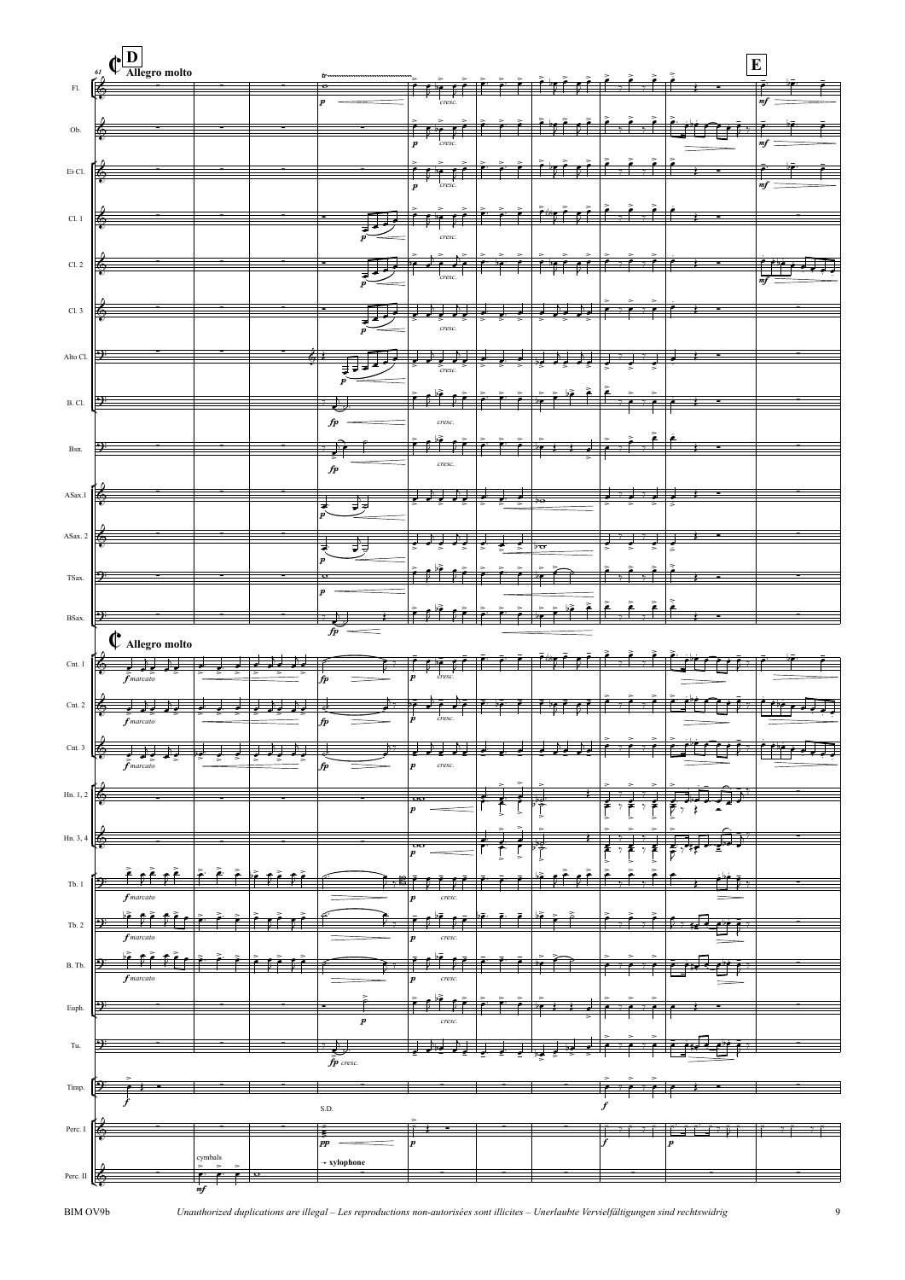

BIM OV9b

Unauthorized duplications are illegal - Les reproductions non-autorisées sont illicites - Unerlaubte Vervielfältigungen sind rechtswidrig 9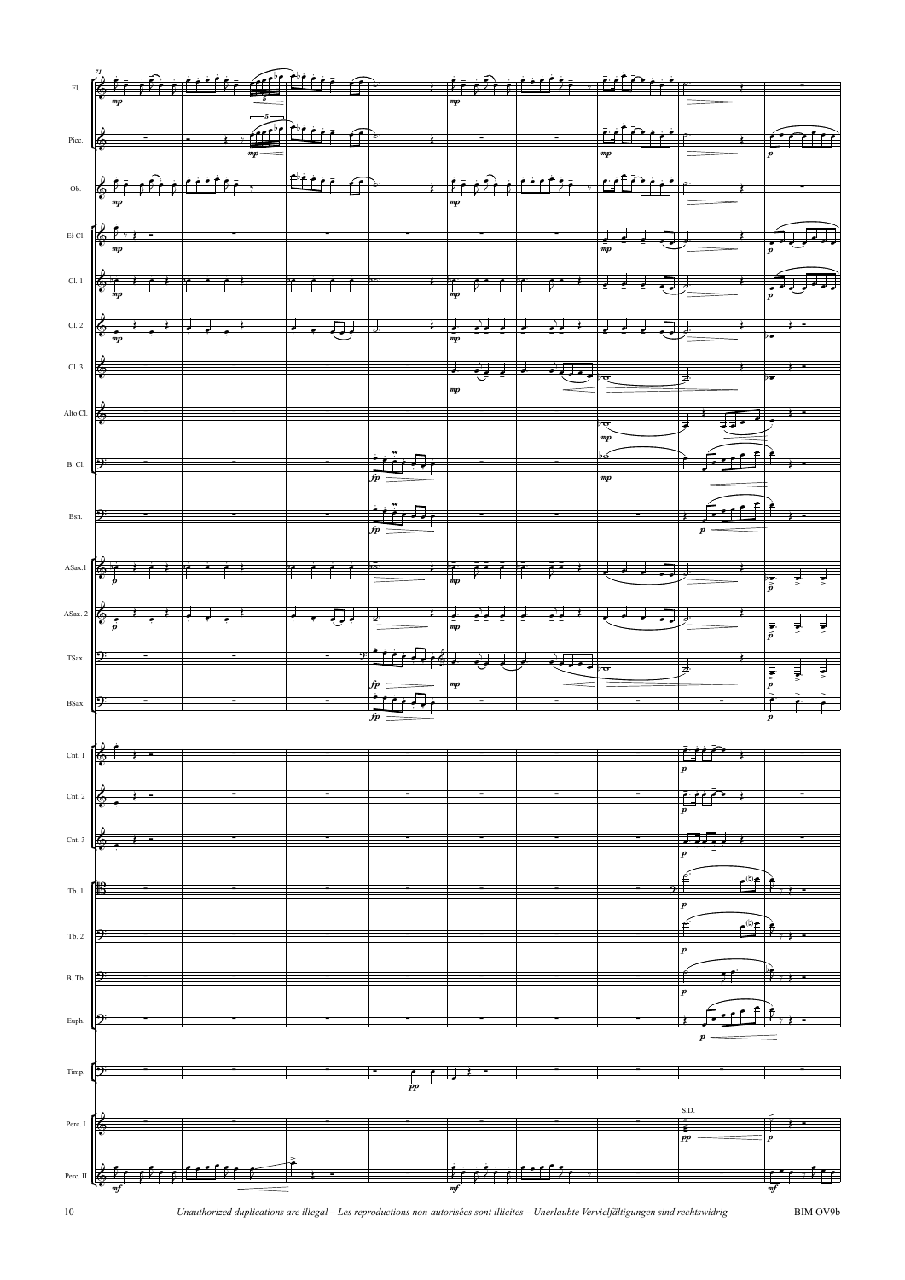



10

Unauthorized duplications are illegal - Les reproductions non-autorisées sont illicites - Unerlaubte Vervielfältigungen sind rechtswidrig BIM OV9b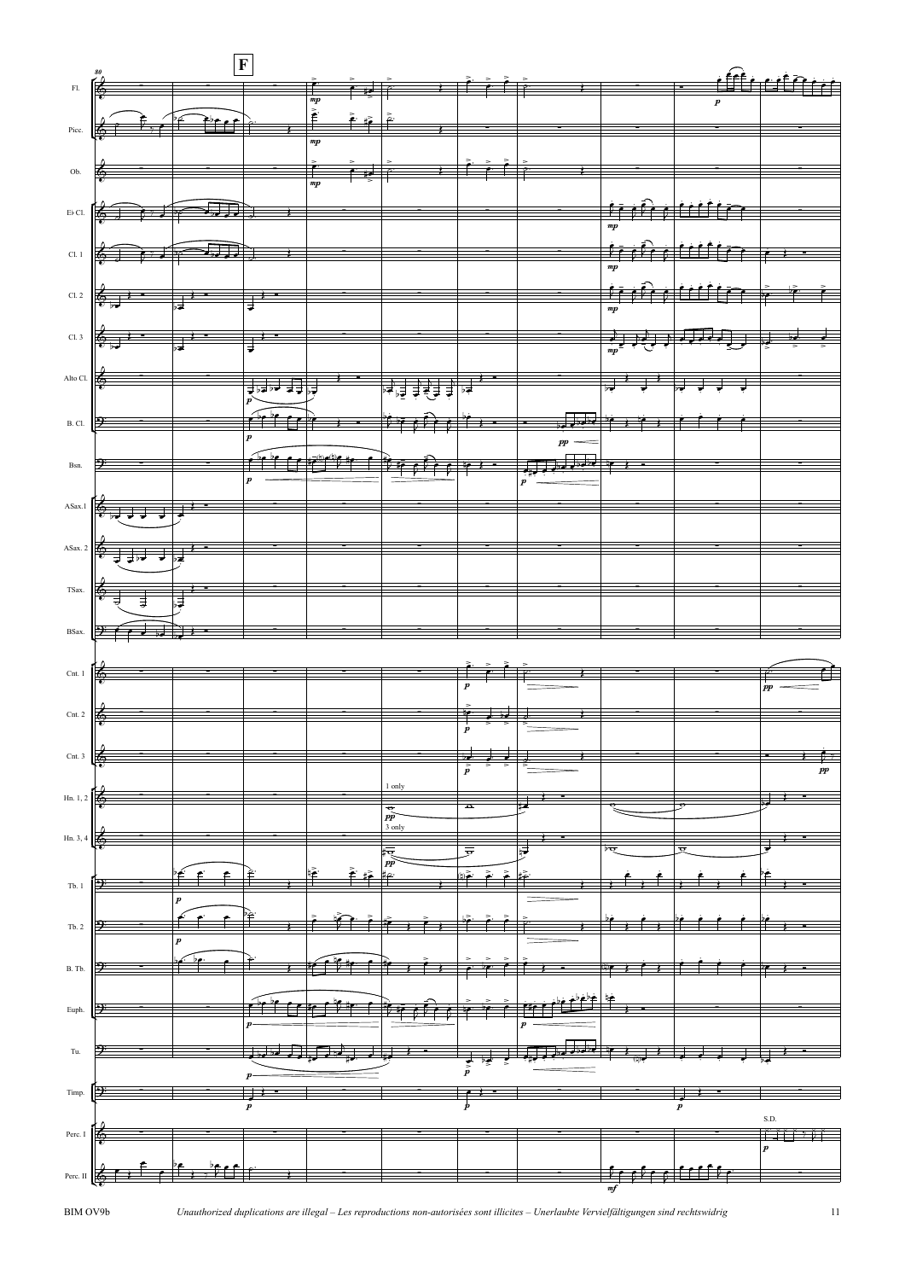

BIM OV9b

Unauthorized duplications are illegal - Les reproductions non-autorisées sont illicites - Unerlaubte Vervielfältigungen sind rechtswidrig 11